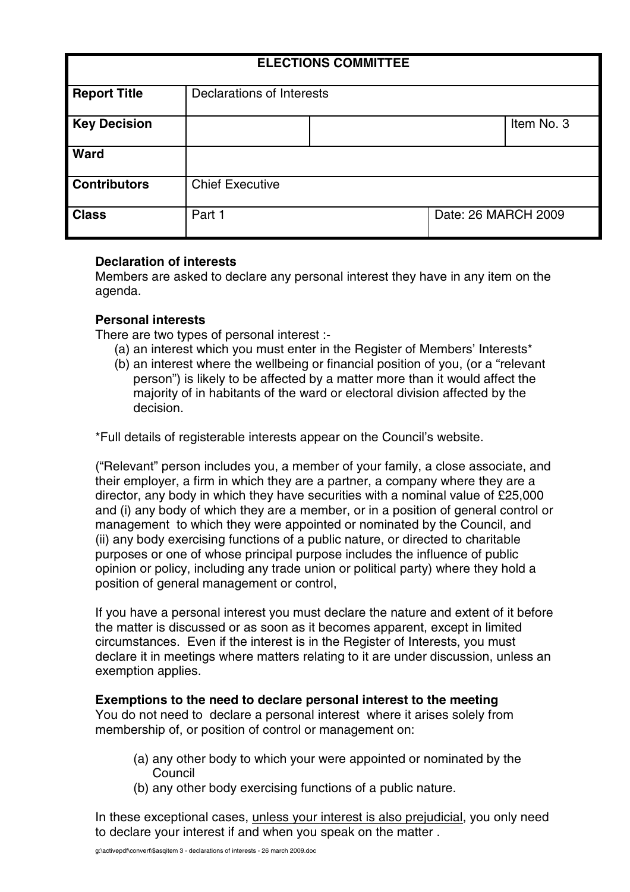| <b>ELECTIONS COMMITTEE</b> |                           |  |                     |            |
|----------------------------|---------------------------|--|---------------------|------------|
| <b>Report Title</b>        | Declarations of Interests |  |                     |            |
| <b>Key Decision</b>        |                           |  |                     | Item No. 3 |
| Ward                       |                           |  |                     |            |
| <b>Contributors</b>        | <b>Chief Executive</b>    |  |                     |            |
| <b>Class</b>               | Part 1                    |  | Date: 26 MARCH 2009 |            |

## **Declaration of interests**

Members are asked to declare any personal interest they have in any item on the agenda.

# **Personal interests**

There are two types of personal interest :-

- (a) an interest which you must enter in the Register of Members' Interests\*
- (b) an interest where the wellbeing or financial position of you, (or a "relevant person") is likely to be affected by a matter more than it would affect the majority of in habitants of the ward or electoral division affected by the decision.

\*Full details of registerable interests appear on the Council's website.

("Relevant" person includes you, a member of your family, a close associate, and their employer, a firm in which they are a partner, a company where they are a director, any body in which they have securities with a nominal value of £25,000 and (i) any body of which they are a member, or in a position of general control or management to which they were appointed or nominated by the Council, and (ii) any body exercising functions of a public nature, or directed to charitable purposes or one of whose principal purpose includes the influence of public opinion or policy, including any trade union or political party) where they hold a position of general management or control,

If you have a personal interest you must declare the nature and extent of it before the matter is discussed or as soon as it becomes apparent, except in limited circumstances. Even if the interest is in the Register of Interests, you must declare it in meetings where matters relating to it are under discussion, unless an exemption applies.

## **Exemptions to the need to declare personal interest to the meeting**

You do not need to declare a personal interest where it arises solely from membership of, or position of control or management on:

- (a) any other body to which your were appointed or nominated by the Council
- (b) any other body exercising functions of a public nature.

In these exceptional cases, unless your interest is also prejudicial, you only need to declare your interest if and when you speak on the matter .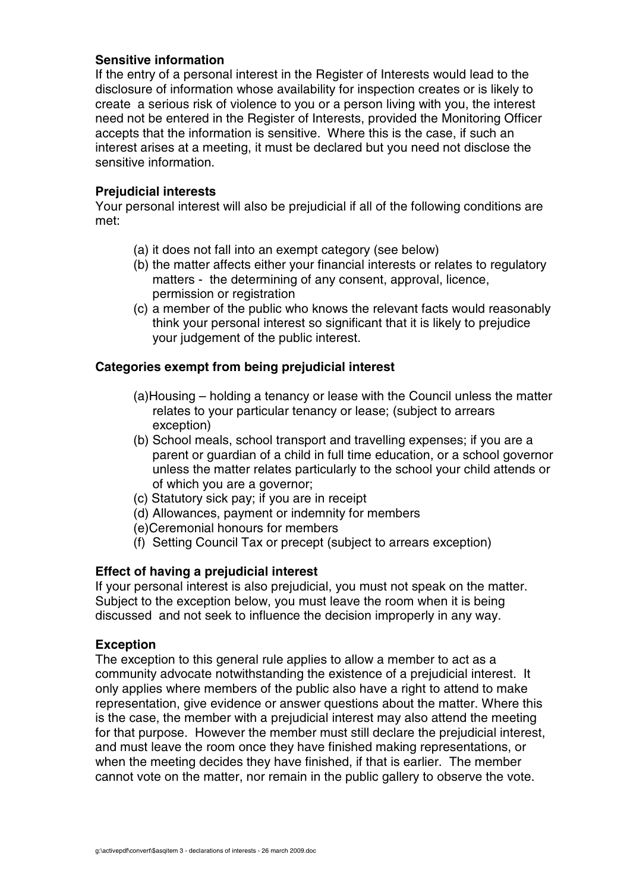## **Sensitive information**

If the entry of a personal interest in the Register of Interests would lead to the disclosure of information whose availability for inspection creates or is likely to create a serious risk of violence to you or a person living with you, the interest need not be entered in the Register of Interests, provided the Monitoring Officer accepts that the information is sensitive. Where this is the case, if such an interest arises at a meeting, it must be declared but you need not disclose the sensitive information.

### **Prejudicial interests**

Your personal interest will also be prejudicial if all of the following conditions are met:

- (a) it does not fall into an exempt category (see below)
- (b) the matter affects either your financial interests or relates to regulatory matters - the determining of any consent, approval, licence, permission or registration
- (c) a member of the public who knows the relevant facts would reasonably think your personal interest so significant that it is likely to prejudice your judgement of the public interest.

## **Categories exempt from being prejudicial interest**

- (a)Housing holding a tenancy or lease with the Council unless the matter relates to your particular tenancy or lease; (subject to arrears exception)
- (b) School meals, school transport and travelling expenses; if you are a parent or guardian of a child in full time education, or a school governor unless the matter relates particularly to the school your child attends or of which you are a governor;
- (c) Statutory sick pay; if you are in receipt
- (d) Allowances, payment or indemnity for members
- (e)Ceremonial honours for members
- (f) Setting Council Tax or precept (subject to arrears exception)

## **Effect of having a prejudicial interest**

If your personal interest is also prejudicial, you must not speak on the matter. Subject to the exception below, you must leave the room when it is being discussed and not seek to influence the decision improperly in any way.

#### **Exception**

The exception to this general rule applies to allow a member to act as a community advocate notwithstanding the existence of a prejudicial interest. It only applies where members of the public also have a right to attend to make representation, give evidence or answer questions about the matter. Where this is the case, the member with a prejudicial interest may also attend the meeting for that purpose. However the member must still declare the prejudicial interest, and must leave the room once they have finished making representations, or when the meeting decides they have finished, if that is earlier. The member cannot vote on the matter, nor remain in the public gallery to observe the vote.